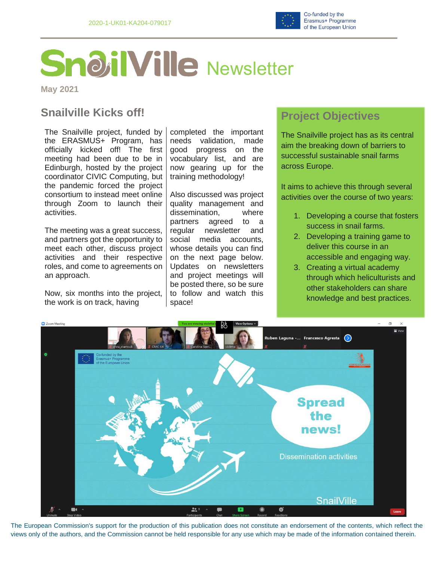

# **SnailVille** Newsletter

**May 2021**

## **Snailville Kicks off!**

The Snailville project, funded by the ERASMUS+ Program, has officially kicked off! The first meeting had been due to be in Edinburgh, hosted by the project coordinator CIVIC Computing, but the pandemic forced the project consortium to instead meet online through Zoom to launch their activities.

The meeting was a great success, and partners got the opportunity to meet each other, discuss project activities and their respective roles, and come to agreements on an approach.

Now, six months into the project, the work is on track, having

completed the important needs validation, made good progress on the vocabulary list, and are now gearing up for the training methodology!

Also discussed was project quality management and dissemination, where partners agreed to a regular newsletter and social media accounts, whose details you can find on the next page below. Updates on newsletters and project meetings will be posted there, so be sure to follow and watch this space!

### **Project Objectives**

The Snailville project has as its central aim the breaking down of barriers to successful sustainable snail farms across Europe.

It aims to achieve this through several activities over the course of two years:

- 1. Developing a course that fosters success in snail farms.
- 2. Developing a training game to deliver this course in an accessible and engaging way.
- 3. Creating a virtual academy through which heliculturists and other stakeholders can share knowledge and best practices.



The European Commission's support for the production of this publication does not constitute an endorsement of the contents, which reflect the views only of the authors, and the Commission cannot be held responsible for any use which may be made of the information contained therein.